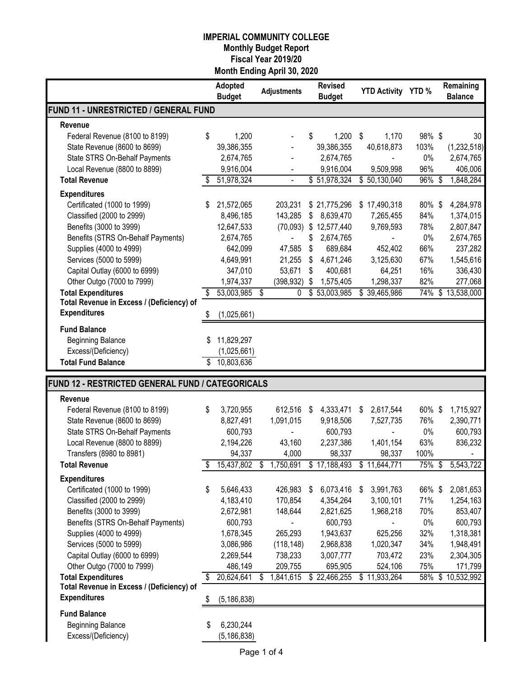|                                                                  |    | Adopted<br><b>Budget</b> | <b>Adjustments</b> |               | <b>Revised</b><br><b>Budget</b> |    | YTD Activity YTD % |        | Remaining<br><b>Balance</b> |
|------------------------------------------------------------------|----|--------------------------|--------------------|---------------|---------------------------------|----|--------------------|--------|-----------------------------|
| FUND 11 - UNRESTRICTED / GENERAL FUND                            |    |                          |                    |               |                                 |    |                    |        |                             |
| Revenue                                                          |    |                          |                    |               |                                 |    |                    |        |                             |
| Federal Revenue (8100 to 8199)                                   | \$ | 1,200                    |                    | \$            | 1,200                           | \$ | 1,170              | 98%\$  | 30                          |
| State Revenue (8600 to 8699)                                     |    | 39,386,355               |                    |               | 39,386,355                      |    | 40,618,873         | 103%   | (1,232,518)                 |
| State STRS On-Behalf Payments                                    |    | 2,674,765                |                    |               | 2,674,765                       |    |                    | 0%     | 2,674,765                   |
| Local Revenue (8800 to 8899)                                     |    | 9,916,004                |                    |               | 9,916,004                       |    | 9,509,998          | 96%    | 406,006                     |
| <b>Total Revenue</b>                                             | \$ | 51,978,324               | $\blacksquare$     |               | \$51,978,324                    |    | \$50,130,040       | 96%    | \$<br>1,848,284             |
|                                                                  |    |                          |                    |               |                                 |    |                    |        |                             |
| <b>Expenditures</b>                                              |    |                          |                    |               |                                 |    |                    |        |                             |
| Certificated (1000 to 1999)                                      |    | 21,572,065               | 203,231            |               | \$21,775,296                    |    | \$17,490,318       | 80%\$  | 4,284,978                   |
| Classified (2000 to 2999)                                        |    | 8,496,185                | 143,285            | \$            | 8,639,470                       |    | 7,265,455          | 84%    | 1,374,015                   |
| Benefits (3000 to 3999)                                          |    | 12,647,533               | (70,093)           |               | \$12,577,440                    |    | 9,769,593          | 78%    | 2,807,847                   |
| Benefits (STRS On-Behalf Payments)                               |    | 2,674,765                |                    | \$            | 2,674,765                       |    |                    | 0%     | 2,674,765                   |
| Supplies (4000 to 4999)                                          |    | 642,099                  | 47,585             | \$            | 689,684                         |    | 452,402            | 66%    | 237,282                     |
| Services (5000 to 5999)                                          |    | 4,649,991                | 21,255             | \$            | 4,671,246                       |    | 3,125,630          | 67%    | 1,545,616                   |
| Capital Outlay (6000 to 6999)                                    |    | 347,010                  | 53,671             | \$            | 400,681                         |    | 64,251             | 16%    | 336,430                     |
| Other Outgo (7000 to 7999)                                       |    | 1,974,337                | (398, 932)         | \$            | 1,575,405                       |    | 1,298,337          | 82%    | 277,068                     |
| <b>Total Expenditures</b>                                        | \$ | 53,003,985               | \$<br>0            |               | \$53,003,985                    | \$ | 39,465,986         | 74%    | \$13,538,000                |
| Total Revenue in Excess / (Deficiency) of                        |    |                          |                    |               |                                 |    |                    |        |                             |
| <b>Expenditures</b>                                              | S  | (1,025,661)              |                    |               |                                 |    |                    |        |                             |
| <b>Fund Balance</b>                                              |    |                          |                    |               |                                 |    |                    |        |                             |
| <b>Beginning Balance</b>                                         |    | 11,829,297               |                    |               |                                 |    |                    |        |                             |
| Excess/(Deficiency)                                              |    | (1,025,661)              |                    |               |                                 |    |                    |        |                             |
| <b>Total Fund Balance</b>                                        | \$ | 10,803,636               |                    |               |                                 |    |                    |        |                             |
|                                                                  |    |                          |                    |               |                                 |    |                    |        |                             |
| FUND 12 - RESTRICTED GENERAL FUND / CATEGORICALS                 |    |                          |                    |               |                                 |    |                    |        |                             |
| Revenue                                                          |    |                          |                    |               |                                 |    |                    |        |                             |
| Federal Revenue (8100 to 8199)                                   | \$ | 3,720,955                | 612,516            | $\frac{1}{2}$ | 4,333,471                       | \$ | 2,617,544          | 60% \$ | 1,715,927                   |
| State Revenue (8600 to 8699)                                     |    | 8,827,491                | 1,091,015          |               | 9,918,506                       |    | 7,527,735          | 76%    | 2,390,771                   |
| State STRS On-Behalf Payments                                    |    | 600,793                  |                    |               | 600,793                         |    |                    | 0%     | 600,793                     |
| Local Revenue (8800 to 8899)                                     |    | 2,194,226                | 43,160             |               | 2,237,386                       |    | 1,401,154          | 63%    | 836,232                     |
| Transfers (8980 to 8981)                                         |    | 94,337                   | 4,000              |               | 98,337                          |    | 98,337             | 100%   |                             |
| <b>Total Revenue</b>                                             | \$ | 15,437,802               | \$<br>1,750,691    |               | \$17,188,493                    |    | \$11,644,771       | 75%    | \$<br>5,543,722             |
| <b>Expenditures</b>                                              |    |                          |                    |               |                                 |    |                    |        |                             |
| Certificated (1000 to 1999)                                      | \$ | 5,646,433                | 426,983 \$         |               | 6,073,416                       | S  | 3,991,763          | 66% \$ | 2,081,653                   |
| Classified (2000 to 2999)                                        |    | 4,183,410                | 170,854            |               | 4,354,264                       |    | 3,100,101          | 71%    | 1,254,163                   |
| Benefits (3000 to 3999)                                          |    | 2,672,981                | 148,644            |               | 2,821,625                       |    | 1,968,218          | 70%    | 853,407                     |
| Benefits (STRS On-Behalf Payments)                               |    | 600,793                  |                    |               | 600,793                         |    |                    | $0\%$  | 600,793                     |
| Supplies (4000 to 4999)                                          |    | 1,678,345                | 265,293            |               | 1,943,637                       |    | 625,256            | 32%    |                             |
|                                                                  |    |                          |                    |               |                                 |    |                    |        | 1,318,381                   |
| Services (5000 to 5999)                                          |    | 3,086,986                | (118, 148)         |               | 2,968,838                       |    | 1,020,347          | 34%    | 1,948,491                   |
| Capital Outlay (6000 to 6999)                                    |    | 2,269,544                | 738,233            |               | 3,007,777                       |    | 703,472            | 23%    | 2,304,305                   |
| Other Outgo (7000 to 7999)                                       |    | 486,149                  | 209,755            |               | 695,905                         |    | 524,106            | 75%    | 171,799                     |
| <b>Total Expenditures</b>                                        | \$ | 20,624,641               | \$<br>1,841,615    |               | \$22,466,255                    |    | \$11,933,264       | 58%    | \$10,532,992                |
| Total Revenue in Excess / (Deficiency) of<br><b>Expenditures</b> |    |                          |                    |               |                                 |    |                    |        |                             |
|                                                                  | \$ | (5, 186, 838)            |                    |               |                                 |    |                    |        |                             |
| <b>Fund Balance</b>                                              |    |                          |                    |               |                                 |    |                    |        |                             |
| <b>Beginning Balance</b>                                         | \$ | 6,230,244                |                    |               |                                 |    |                    |        |                             |
| Excess/(Deficiency)                                              |    | (5, 186, 838)            |                    |               |                                 |    |                    |        |                             |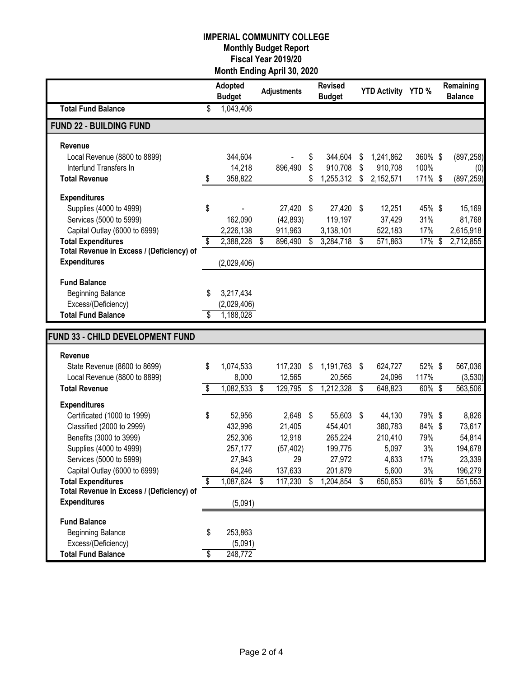|                                           | Adopted<br><b>Budget</b> |     | <b>Adjustments</b> | <b>Revised</b><br><b>Budget</b> |           | YTD Activity YTD % |           |           | Remaining<br><b>Balance</b> |
|-------------------------------------------|--------------------------|-----|--------------------|---------------------------------|-----------|--------------------|-----------|-----------|-----------------------------|
| <b>Total Fund Balance</b>                 | \$<br>1,043,406          |     |                    |                                 |           |                    |           |           |                             |
| <b>FUND 22 - BUILDING FUND</b>            |                          |     |                    |                                 |           |                    |           |           |                             |
| Revenue                                   |                          |     |                    |                                 |           |                    |           |           |                             |
| Local Revenue (8800 to 8899)              | 344,604                  |     |                    | \$                              | 344,604   | \$                 | 1,241,862 | 360% \$   | (897, 258)                  |
| Interfund Transfers In                    | 14,218                   |     | 896,490            | \$                              | 910,708   | \$                 | 910,708   | 100%      | (0)                         |
| <b>Total Revenue</b>                      | \$<br>358,822            |     |                    | \$                              | 1,255,312 | \$                 | 2,152,571 | 171% \$   | (897, 259)                  |
| <b>Expenditures</b>                       |                          |     |                    |                                 |           |                    |           |           |                             |
| Supplies (4000 to 4999)                   | \$                       |     | 27,420             | \$                              | 27,420    | - \$               | 12,251    | 45% \$    | 15,169                      |
| Services (5000 to 5999)                   | 162,090                  |     | (42, 893)          |                                 | 119,197   |                    | 37,429    | 31%       | 81,768                      |
| Capital Outlay (6000 to 6999)             | 2,226,138                |     | 911,963            |                                 | 3,138,101 |                    | 522,183   | 17%       | 2,615,918                   |
| <b>Total Expenditures</b>                 | \$<br>2,388,228          | \$  | 896,490            | \$                              | 3,284,718 | \$                 | 571,863   | $17\%$ \$ | 2,712,855                   |
| Total Revenue in Excess / (Deficiency) of |                          |     |                    |                                 |           |                    |           |           |                             |
| <b>Expenditures</b>                       | (2,029,406)              |     |                    |                                 |           |                    |           |           |                             |
| <b>Fund Balance</b>                       |                          |     |                    |                                 |           |                    |           |           |                             |
| <b>Beginning Balance</b>                  | \$<br>3,217,434          |     |                    |                                 |           |                    |           |           |                             |
| Excess/(Deficiency)                       | (2,029,406)              |     |                    |                                 |           |                    |           |           |                             |
| <b>Total Fund Balance</b>                 | 1,188,028                |     |                    |                                 |           |                    |           |           |                             |
|                                           |                          |     |                    |                                 |           |                    |           |           |                             |
| FUND 33 - CHILD DEVELOPMENT FUND          |                          |     |                    |                                 |           |                    |           |           |                             |
| Revenue                                   |                          |     |                    |                                 |           |                    |           |           |                             |
| State Revenue (8600 to 8699)              | \$<br>1,074,533          |     | 117,230            | \$                              | 1,191,763 | \$                 | 624,727   | 52%\$     | 567,036                     |
| Local Revenue (8800 to 8899)              | 8,000                    |     | 12,565             |                                 | 20,565    |                    | 24,096    | 117%      | (3,530)                     |
| <b>Total Revenue</b>                      | \$<br>1,082,533          | -\$ | 129,795            | \$                              | 1,212,328 | \$                 | 648,823   | 60%\$     | 563,506                     |
| <b>Expenditures</b>                       |                          |     |                    |                                 |           |                    |           |           |                             |
| Certificated (1000 to 1999)               | \$<br>52,956             |     | $2,648$ \$         |                                 | 55,603    | \$                 | 44,130    | 79%\$     | 8,826                       |
| Classified (2000 to 2999)                 | 432,996                  |     | 21,405             |                                 | 454,401   |                    | 380,783   | 84% \$    | 73,617                      |
| Benefits (3000 to 3999)                   | 252,306                  |     | 12,918             |                                 | 265,224   |                    | 210,410   | 79%       | 54,814                      |
| Supplies (4000 to 4999)                   | 257,177                  |     | (57, 402)          |                                 | 199,775   |                    | 5,097     | 3%        | 194,678                     |
| Services (5000 to 5999)                   | 27,943                   |     | 29                 |                                 | 27,972    |                    | 4,633     | 17%       | 23,339                      |
| Capital Outlay (6000 to 6999)             | 64,246                   |     | 137,633            |                                 | 201,879   |                    | 5,600     | 3%        | 196,279                     |
| <b>Total Expenditures</b>                 | \$<br>1,087,624          | -S  | 117,230            | S                               | 1,204,854 | S                  | 650,653   | 60%\$     | 551,553                     |
| Total Revenue in Excess / (Deficiency) of |                          |     |                    |                                 |           |                    |           |           |                             |
| <b>Expenditures</b>                       | (5,091)                  |     |                    |                                 |           |                    |           |           |                             |
| <b>Fund Balance</b>                       |                          |     |                    |                                 |           |                    |           |           |                             |
| <b>Beginning Balance</b>                  | \$<br>253,863            |     |                    |                                 |           |                    |           |           |                             |
| Excess/(Deficiency)                       | (5,091)                  |     |                    |                                 |           |                    |           |           |                             |
| <b>Total Fund Balance</b>                 | \$<br>248,772            |     |                    |                                 |           |                    |           |           |                             |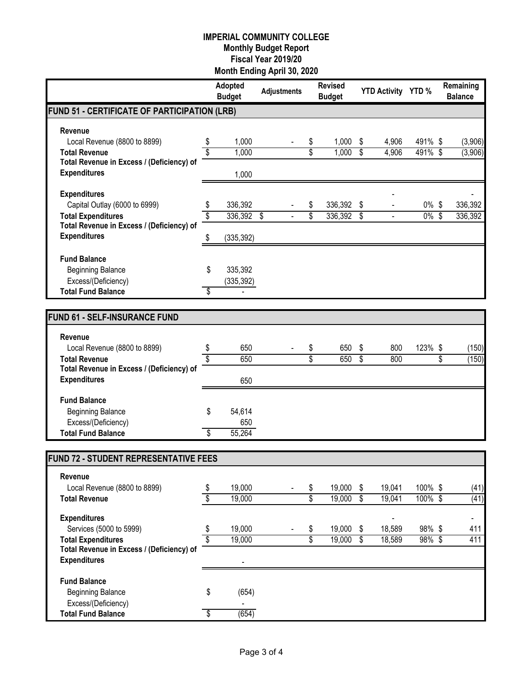|                                              |                          | Adopted<br><b>Budget</b> | <b>Adjustments</b> | <b>Revised</b><br><b>Budget</b> |                          | YTD Activity YTD % |                    |                         | Remaining<br><b>Balance</b>  |
|----------------------------------------------|--------------------------|--------------------------|--------------------|---------------------------------|--------------------------|--------------------|--------------------|-------------------------|------------------------------|
| FUND 51 - CERTIFICATE OF PARTICIPATION (LRB) |                          |                          |                    |                                 |                          |                    |                    |                         |                              |
| Revenue                                      |                          |                          |                    |                                 |                          |                    |                    |                         |                              |
| Local Revenue (8800 to 8899)                 | \$                       | 1,000                    |                    | \$<br>1,000                     | \$                       | 4,906              | 491% \$            |                         | (3,906)                      |
| <b>Total Revenue</b>                         |                          | 1,000                    |                    | \$<br>1,000                     | $\overline{\mathcal{S}}$ | 4,906              | 491%\$             |                         | (3,906)                      |
| Total Revenue in Excess / (Deficiency) of    |                          |                          |                    |                                 |                          |                    |                    |                         |                              |
| <b>Expenditures</b>                          |                          | 1,000                    |                    |                                 |                          |                    |                    |                         |                              |
| <b>Expenditures</b>                          |                          |                          |                    |                                 |                          |                    |                    |                         |                              |
| Capital Outlay (6000 to 6999)                | \$                       | 336,392                  |                    | \$<br>336,392                   | \$                       |                    | $0\%$              | \$                      | 336,392                      |
| <b>Total Expenditures</b>                    | \$                       | 336,392 \$               |                    | \$<br>336,392                   | S,                       |                    | $0\%$              | $\overline{\mathbf{s}}$ | 336,392                      |
| Total Revenue in Excess / (Deficiency) of    |                          |                          |                    |                                 |                          |                    |                    |                         |                              |
| <b>Expenditures</b>                          | \$                       | (335, 392)               |                    |                                 |                          |                    |                    |                         |                              |
| <b>Fund Balance</b>                          |                          |                          |                    |                                 |                          |                    |                    |                         |                              |
| <b>Beginning Balance</b>                     | \$                       | 335,392                  |                    |                                 |                          |                    |                    |                         |                              |
| Excess/(Deficiency)                          |                          | (335, 392)               |                    |                                 |                          |                    |                    |                         |                              |
| <b>Total Fund Balance</b>                    | \$                       |                          |                    |                                 |                          |                    |                    |                         |                              |
|                                              |                          |                          |                    |                                 |                          |                    |                    |                         |                              |
| <b>FUND 61 - SELF-INSURANCE FUND</b>         |                          |                          |                    |                                 |                          |                    |                    |                         |                              |
| <b>Revenue</b>                               |                          |                          |                    |                                 |                          |                    |                    |                         |                              |
| Local Revenue (8800 to 8899)                 | \$                       | 650                      |                    | \$<br>650                       | \$                       | 800                | 123%               | \$                      | (150)                        |
| <b>Total Revenue</b>                         | \$                       | 650                      |                    | \$<br>650                       | $\overline{\mathcal{S}}$ | 800                |                    | \$                      | (150)                        |
| Total Revenue in Excess / (Deficiency) of    |                          |                          |                    |                                 |                          |                    |                    |                         |                              |
| <b>Expenditures</b>                          |                          | 650                      |                    |                                 |                          |                    |                    |                         |                              |
| <b>Fund Balance</b>                          |                          |                          |                    |                                 |                          |                    |                    |                         |                              |
| <b>Beginning Balance</b>                     | \$                       | 54,614                   |                    |                                 |                          |                    |                    |                         |                              |
| Excess/(Deficiency)                          |                          | 650                      |                    |                                 |                          |                    |                    |                         |                              |
| <b>Total Fund Balance</b>                    | $\overline{\$}$          | 55,264                   |                    |                                 |                          |                    |                    |                         |                              |
|                                              |                          |                          |                    |                                 |                          |                    |                    |                         |                              |
| FUND 72 - STUDENT REPRESENTATIVE FEES        |                          |                          |                    |                                 |                          |                    |                    |                         |                              |
| Revenue                                      |                          |                          |                    |                                 |                          |                    |                    |                         |                              |
| Local Revenue (8800 to 8899)                 | \$                       | 19,000                   |                    | \$<br>19,000                    | \$                       | 19,041             | 100% \$            |                         | (41)                         |
| <b>Total Revenue</b>                         | \$                       | 19,000                   |                    | \$<br>19,000                    | \$                       | 19,041             | $100\%$ \$         |                         | (41)                         |
| <b>Expenditures</b>                          |                          |                          |                    |                                 |                          |                    |                    |                         | $\qquad \qquad \blacksquare$ |
| Services (5000 to 5999)                      | \$                       | 19,000                   |                    | \$<br>19,000                    | \$                       | 18,589             | 98%\$              |                         | 411                          |
| <b>Total Expenditures</b>                    | $\overline{\mathcal{S}}$ | 19,000                   |                    | \$<br>19,000                    | \$                       | 18,589             | $98\% \; \bar{\$}$ |                         | 411                          |
| Total Revenue in Excess / (Deficiency) of    |                          |                          |                    |                                 |                          |                    |                    |                         |                              |
| <b>Expenditures</b>                          |                          |                          |                    |                                 |                          |                    |                    |                         |                              |
| <b>Fund Balance</b>                          |                          |                          |                    |                                 |                          |                    |                    |                         |                              |
| <b>Beginning Balance</b>                     | \$                       | (654)                    |                    |                                 |                          |                    |                    |                         |                              |
| Excess/(Deficiency)                          |                          |                          |                    |                                 |                          |                    |                    |                         |                              |
| <b>Total Fund Balance</b>                    | \$                       | (654)                    |                    |                                 |                          |                    |                    |                         |                              |